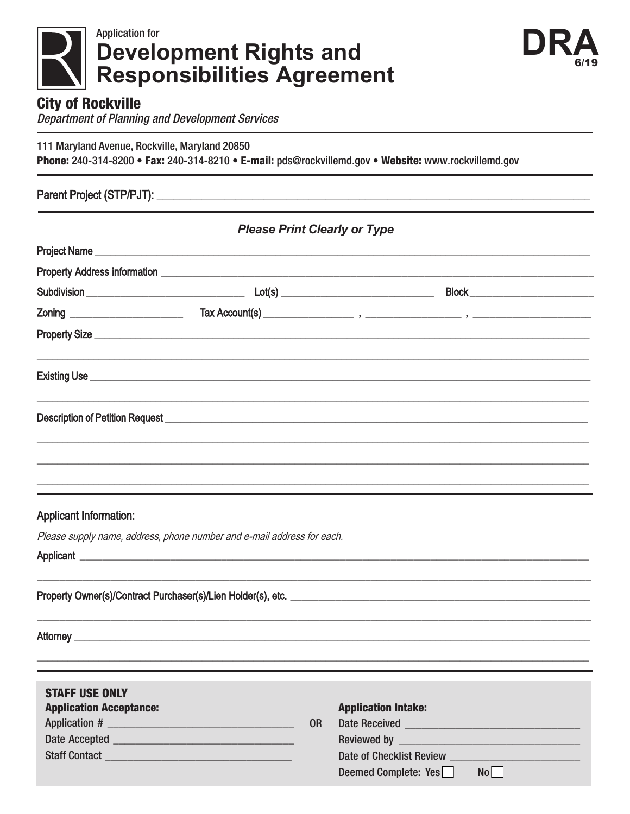



## **City of Rockville**

**Department of Planning and Development Services** 

111 Maryland Avenue, Rockville, Maryland 20850

Phone: 240-314-8200 • Fax: 240-314-8210 • E-mail: pds@rockvillemd.gov • Website: www.rockvillemd.gov

## Parent Project (STP/PJT): \_\_\_\_\_\_\_\_\_\_\_\_\_\_

| <b>Please Print Clearly or Type</b> |                                                                                                                                                                                                                                           |                                      |  |  |
|-------------------------------------|-------------------------------------------------------------------------------------------------------------------------------------------------------------------------------------------------------------------------------------------|--------------------------------------|--|--|
|                                     | <b>Project Name</b> <u>Constantine and the constantine and the constantine and the constantine and the constantine and the constantine of the constantine and the constantine of the constantine of the constantine of the constantin</u> |                                      |  |  |
|                                     |                                                                                                                                                                                                                                           |                                      |  |  |
|                                     |                                                                                                                                                                                                                                           | Block ______________________________ |  |  |
|                                     |                                                                                                                                                                                                                                           |                                      |  |  |
|                                     | Property Size <u>experience</u> and the contract of the contract of the contract of the contract of the contract of the contract of the contract of the contract of the contract of the contract of the contract of the contract of       |                                      |  |  |
|                                     |                                                                                                                                                                                                                                           |                                      |  |  |
|                                     | Description of Petition Request <b>Exercise Contract Contract Contract Contract Contract Contract Contract Contract Contract Contract Contract Contract Contract Contract Contract Contract Contract Contract Contract Contract </b>      |                                      |  |  |
|                                     |                                                                                                                                                                                                                                           |                                      |  |  |

## **Applicant Information:**

Please supply name, address, phone number and e-mail address for each.

Applicant <u>experience</u> and the contract of the contract of the contract of the contract of the contract of the contract of the contract of the contract of the contract of the contract of the contract of the contract of the

Property Owner(s)/Contract Purchaser(s)/Lien Holder(s), etc.

Attorney **Attorney** 

| <b>STAFF USE ONLY</b>          |    |                                                                     |
|--------------------------------|----|---------------------------------------------------------------------|
| <b>Application Acceptance:</b> |    | <b>Application Intake:</b>                                          |
|                                | 0R | Date Received <b>Exercísies CONSUMERS</b>                           |
|                                |    |                                                                     |
|                                |    | Date of Checklist Review <b>Exercísies Date of Checklist Review</b> |
|                                |    | Deemed Complete: Yes<br>No                                          |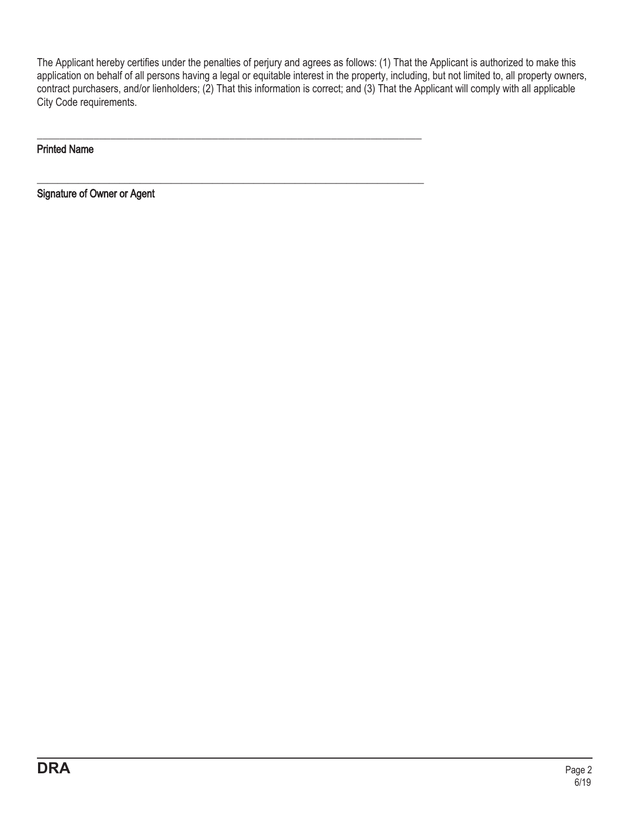The Applicant hereby certifies under the penalties of perjury and agrees as follows: (1) That the Applicant is authorized to make this application on behalf of all persons having a legal or equitable interest in the property, including, but not limited to, all property owners, contract purchasers, and/or lienholders; (2) That this information is correct; and (3) That the Applicant will comply with all applicable City Code requirements.

\_\_\_\_\_\_\_\_\_\_\_\_\_\_\_\_\_\_\_\_\_\_\_\_\_\_\_\_\_\_\_\_\_\_\_\_\_\_\_\_\_\_\_\_\_\_\_\_\_\_\_\_\_\_\_\_\_\_\_\_\_\_\_\_\_\_\_\_

\_\_\_\_\_\_\_\_\_\_\_\_\_\_\_\_\_\_\_\_\_\_\_\_\_\_\_\_\_\_\_\_\_\_\_\_\_\_\_\_\_\_\_\_\_\_\_\_\_\_\_\_\_\_\_\_\_\_\_\_\_\_\_\_\_\_\_\_\_\_\_\_\_\_\_

Printed Name

Signature of Owner or Agent